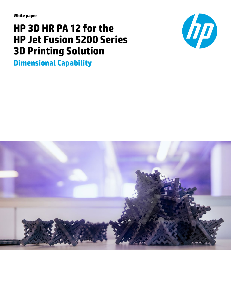**White paper**

# **HP 3D HR PA 12 for the HP Jet Fusion 5200 Series 3D Printing Solution**

**Dimensional Capability**



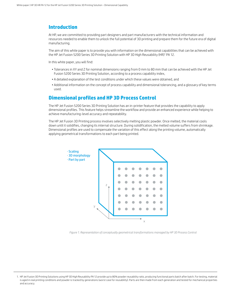## **Introduction**

At HP, we are committed to providing part designers and part manufacturers with the technical information and resources needed to enable them to unlock the full potential of 3D printing and prepare them for the future era of digital manufacturing.

The aim of this white paper is to provide you with information on the dimensional capabilities that can be achieved with the HP Jet Fusion 5200 Series 3D Printing Solution with HP 3D High Reusability (HR)' PA 12.

In this white paper, you will find:

- Tolerances in XY and Z for nominal dimensions ranging from 0 mm to 80 mm that can be achieved with the HP Jet Fusion 5200 Series 3D Printing Solution, according to a process capability index,
- A detailed explanation of the test conditions under which these values were obtained, and
- Additional information on the concept of process capability and dimensional tolerancing, and a glossary of key terms used.

## **Dimensional profiles and HP 3D Process Control**

The HP Jet Fusion 5200 Series 3D Printing Solution has an in-printer feature that provides the capability to apply dimensional profiles. This feature helps streamline the workflow and provide an enhanced experience while helping to achieve manufacturing-level accuracy and repeatability.

The HP Jet Fusion 3D Printing process involves selectively melting plastic powder. Once melted, the material cools down until it solidifies, changing its internal structure. During solidification, the melted volume suffers from shrinkage. Dimensional profiles are used to compensate the variation of this effect along the printing volume, automatically applying geometrical transformations to each part being printed.



Figure 1. Representation of conceptually geometrical transformations managed by HP 3D Process Control

<sup>1.</sup> HP Jet Fusion 3D Printing Solutions using HP 3D High Reusability PA 12 provide up to 80% powder reusability ratio, producing functional parts batch after batch. For testing, material is aged in real printing conditions and powder is tracked by generations (worst case for reusability). Parts are then made from each generation and tested for mechanical properties and accuracy.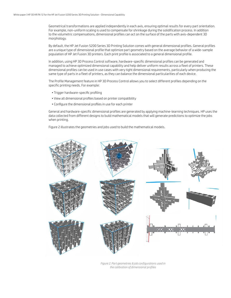Geometrical transformations are applied independently in each axis, ensuring optimal results for every part orientation. For example, non-uniform scaling is used to compensate for shrinkage during the solidification process. In addition to the volumetric compensations, dimensional profiles can act on the surface of the parts with axis-dependent 3D morphology.

By default, the HP Jet Fusion 5200 Series 3D Printing Solution comes with general dimensional profiles. General profiles are a unique type of dimensional profile that optimize part geometry based on the average behavior of a wide-sample population of HP Jet Fusion 3D printers. Each print profile is associated to a general dimensional profile.

In addition, using HP 3D Process Control software, hardware-specific dimensional profiles can be generated and managed to achieve optimized dimensional capability and help deliver uniform results across a fleet of printers. These dimensional profiles can be used in use cases with very tight dimensional requirements, particularly when producing the same type of parts in a fleet of printers, as they can balance the dimensional particularities of each device.

The Profile Management feature in HP 3D Process Control allows you to select different profiles depending on the specific printing needs. For example:

- Trigger hardware-specific profiling
- View all dimensional profiles based on printer compatibility
- Configure the dimensional profiles in use for each printer

General and hardware-specific dimensional profiles are generated by applying machine-learning techniques. HP uses the data collected from different designs to build mathematical models that will generate predictions to optimize the jobs when printing.

Figure 2 illustrates the geometries and jobs used to build the mathematical models.



*Figure 2. Part geometries & job configurations used in the calibration of dimensional profiles*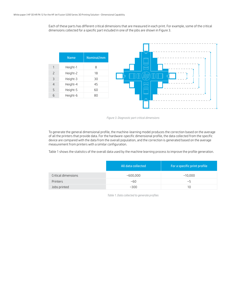Each of these parts has different critical dimensions that are measured in each print. For example, some of the critical dimensions collected for a specific part included in one of the jobs are shown in Figure 3.



*Figure 3. Diagnostic part critical dimensions*

To generate the general dimensional profile, the machine-learning model produces the correction based on the average of all the printers that provide data. For the hardware-specific dimensional profile, the data collected from the specific device are compared with the data from the overall population, and the correction is generated based on the average measurement from printers with a similar configuration.

Table 1 shows the statistics of the overall data used by the machine learning process to improve the profile generation.

|                     | All data collected | For a specific print profile |
|---------------------|--------------------|------------------------------|
| Critical dimensions | ~800,000           | ~10,000                      |
| Printers            | ~60                | $\sim$ 5                     |
| Jobs printed        | ~300               | 10                           |

*Table 1. Data collected to generate profiles*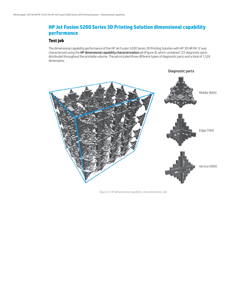# **HP Jet Fusion 5200 Series 3D Printing Solution dimensional capability performance**

## **Test job**

The dimensional capability performance of the HP Jet Fusion 5200 Series 3D Printing Solution with HP 3D HR PA 12 was characterized using the HP dimensional capability characterization job (Figure 4), which contained 122 diagnostic parts distributed throughout the printable volume. The job included three different types of diagnostic parts and a total of 1,524 dimensions.



*Figure 4. HP dimensional capability characterization job*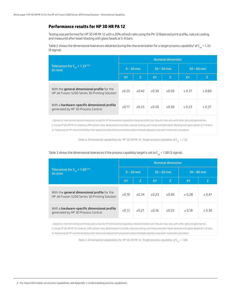#### **Performance results for HP 3D HR PA 12**

Testing was performed for HP 3D HR PA 12 with a 20% refresh ratio using the PA 12 Balanced print profile, natural cooling, and measured after bead-blasting with glass beads at 5-6 bars.

Table 2 shows the dimensional tolerances obtained during the characterization for a target process capability<sup>2</sup> of C<sub>pk</sub> = 1.33 (4 sigma).

|                                                                                                       | <b>Nominal dimension</b> |             |         |              |              |         |  |  |  |  |  |
|-------------------------------------------------------------------------------------------------------|--------------------------|-------------|---------|--------------|--------------|---------|--|--|--|--|--|
| Tolerances for $C_{nk} = 1.33^{n}$<br>(in mm)                                                         |                          | $0 - 30$ mm |         | $30 - 50$ mm | $50 - 80$ mm |         |  |  |  |  |  |
|                                                                                                       | <b>XY</b>                | Z           | XY      | Z.           | XY           | Z       |  |  |  |  |  |
| With the <b>general dimensional profile</b> for the<br>HP Jet Fusion 5200 Series 3D Printing Solution | ±0.25                    | $+0.42$     | ±0.30   | ±0.50        | $+0.37$      | $+0.60$ |  |  |  |  |  |
| With a hardware-specific dimensional profile<br>generated by HP 3D Process Control                    | ±0.17                    | $+0.25$     | $+0.20$ | ±0.30        | $+0.23$      | ± 0.37  |  |  |  |  |  |

*i. Based on internal testing and measured using the HP dimensional capability characterization job. Results may vary with other jobs and geometries. ii. Using HP 3D HR PA 12 material, 20% refresh ratio, Balanced print profile, natural cooling, and measured after bead-blasting with glass beads at 5-6 bars. iii. Following all HP-recommended printer setup and adjustment processes and printheads aligned using semi-automatic procedure.*

*Table 2. Dimensional capabilities for HP 3D HR PA 12. Target process capability of C<sub>pk</sub> = 1.33.* 

|                                                                                                | <b>Nominal dimension</b> |       |       |              |              |         |  |  |  |  |  |
|------------------------------------------------------------------------------------------------|--------------------------|-------|-------|--------------|--------------|---------|--|--|--|--|--|
| Tolerances for $C_{nk} = 1.00^{\text{ii iii}}$<br>$\frac{1}{2}$ (in mm)                        | $0 - 30$ mm              |       |       | $30 - 50$ mm | $50 - 80$ mm |         |  |  |  |  |  |
|                                                                                                | <b>XY</b>                | Z     | XY    | Z            | <b>XY</b>    | Ζ       |  |  |  |  |  |
| With the general dimensional profile for the<br>HP Jet Fusion 5200 Series 3D Printing Solution | ±0.19                    | ±0.34 | ±0.23 | ±0.40        | $+0.28$      | ± 0.47  |  |  |  |  |  |
| With a hardware-specific dimensional profile<br>generated by HP 3D Process Control             | ±0.13                    | ±0.21 | ±0.16 | $+0.25$      | ± 0.18       | $+0.30$ |  |  |  |  |  |

#### Table 3 shows the dimensional tolerances if the process capability target is set to  $C_{nk}$  = 1.00 (3 sigma).

*i. Based on internal testing and measured using the HP dimensional capability characterization job. Results may vary with other jobs and geometries. ii. Using HP 3D HR PA 12 material, 20% refresh ratio, Balanced print profile, natural cooling, and measured after bead-blasting with glass beads at 5-6 bars.. iii. Following all HP-recommended printer setup and adjustment processes and printheads aligned using semi-automatic procedure*

*Table 3. Dimensional capabilities for HP 3D HR PA 12. Target process capability of C<sub>pk</sub> = 1.00.*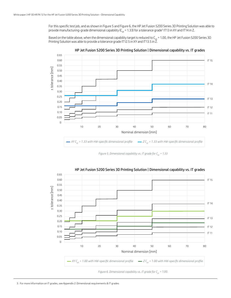For this specific test job, and as shown in Figure 5 and Figure 6, the HP Jet Fusion 5200 Series 3D Printing Solution was able to provide manufacturing-grade dimensional capability (C<sub>pk</sub> = 1.33) for a tolerance grade<sup>3</sup> IT13 in XY and IT14 in Z.

Based on the table above, when the dimensional capability target is reduced to  $C_{pk}$  = 1.00, the HP Jet Fusion 5200 Series 3D Printing Solution was able to provide a tolerance grade IT12.5 in XY and IT13.5 in  $\tilde{Z}$ .



HP Jet Fusion 5200 Series 3D Printing Solution | Dimensional capability vs. IT grades

*Figure 5. Dimensional capability vs. IT grade for*  $C_{p_k} = 1.33$ 



HP Jet Fusion 5200 Series 3D Printing Solution | Dimensional capability vs. IT grades

*Figure 6. Dimensional capability vs. IT grade for*  $C_{pk}$  *= 1.00.*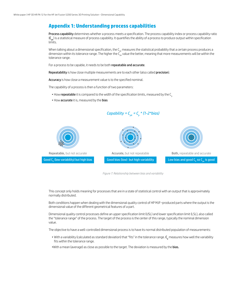# **Appendix 1: Understanding process capabilities**

Process capability determines whether a process meets a specification. The process capability index or process capability ratio  $(C_{nk})$  is a statistical measure of process capability. It quantifies the ability of a process to produce output within specification limits.

When talking about a dimensional specification, the  $\mathsf{C}_{\sf pk}$  measures the statistical probability that a certain process produces a dimension within its tolerance range. The higher the C<sub>pk</sub> value the better, meaning that more measurements will be within the tolerance range.

For a process to be capable, it needs to be both repeatable and accurate.

Repeatability is how close multiple measurements are to each other (also called precision).

Accuracy is how close a measurement value is to the specified nominal.

The capability of a process is then a function of two parameters:

- How repeatable it is compared to the width of the specification limits, measured by the C<sub>n</sub>
- How accurate it is, measured by the bias



*Capability = C<sub>pk</sub> = C<sub>p</sub> \* (1-2\*bias)* 

*Figure 7: Relationship between bias and variability*

This concept only holds meaning for processes that are in a state of statistical control with an output that is approximately normally distributed.

Both conditions happen when dealing with the dimensional quality control of HP MJF–produced parts where the output is the dimensional value of the different geometrical features of a part.

Dimensional quality control processes define an upper specification limit (USL) and lower specification limit (LSL), also called the "tolerance range" of the process. The target of the process is the center of this range, typically the nominal dimension value.

The objective to have a well-controlled dimensional process is to have its normal distributed population of measurements:

- $\bullet$  With a variability (calculated as standard deviation) that "fits" in the tolerance range.  ${\sf C_p}$  measures how well the variability fits within the tolerance range.
- •With a mean (average) as close as possible to the target. The deviation is measured by the bias.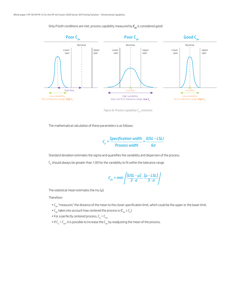Only if both conditions are met, process capability measured by  $C_{pk}$  is considered good:



*Figure 8. Process capability C<sub>pk</sub> scenarios* 

The mathematical calculation of these parameters is as follows:

$$
C_p = \frac{Specification width}{Process width} = \frac{(USL - LSL)}{6\sigma}
$$

Standard deviation estimates the sigma and quantifies the variability and dispersion of the process.

 $\mathsf{C}_\mathsf{p}$  should always be greater than 1.00 for the variability to fit within the tolerance range.

$$
C_{pk} = min\left\{\frac{[USL - \mu J]}{3 \cdot \sigma}, \frac{[\mu - LSL]}{3 \cdot \sigma}\right\}
$$

The statistical mean estimates the mu  $(\mu)$ .

Therefore:

- C<sub>pk</sub> "measures" the distance of the mean to the closer specification limit, which could be the upper or the lower limit.
- $C_{\rm pk}$  takes into account how centered the process is ( $C_{\rm pk} \le C_{\rm pb}$ ).
- For a perfectly centered process,  $C_p = C_{pk}$ .
- $\bullet$  If C<sub>p</sub> > C<sub>pk</sub>, it is possible to increase the C<sub>pk</sub> by readjusting the mean of the process.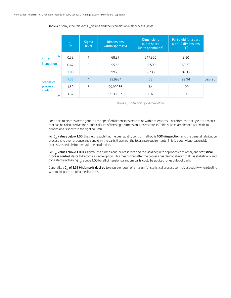|                    | $C_{\rm pk}$ | <b>Sigma</b><br><b>level</b> | <b>Dimensions</b><br>within specs (%) | <b>Dimensions</b><br>out of specs<br>(units per million) | Part yield for a part<br>with 10 dimensions<br>$(\%)$ |         |
|--------------------|--------------|------------------------------|---------------------------------------|----------------------------------------------------------|-------------------------------------------------------|---------|
| 100%               | 0.33         | 1                            | 68.27                                 | 317,300                                                  | 2.20                                                  |         |
| inspection         | 0.67         | $\overline{c}$               | 95.45                                 | 45,500                                                   | 62.77                                                 |         |
|                    | 1.00         | 3                            | 99.73                                 | 2,700                                                    | 97.33                                                 |         |
| <b>Statistical</b> | 1.33         | $\overline{4}$               | 99.9937                               | 63                                                       | 99.94                                                 | Desired |
| process            | 1.50         | 5                            | 99.99966                              | 3.4                                                      | 100                                                   |         |
| control            | 1.67         | 6                            | 99.99997                              | 0.6                                                      | 100                                                   |         |

Table 4 displays the relevant  $C_{nk}$  values and their correlation with process yields.

*Table 4. Cpk and process yield correlation*

For a part to be considered good, all the specified dimensions need to be within tolerances. Therefore, the part yield is a metric that can be calculated as the statistical sum of the single dimension success rate. In Table 4, an example for a part with 10 dimensions is shown in the right column.

For **C<sub>pk</sub> values below 1.00**, the yield is such that the best quality control method is **100% inspection,** and the general fabrication process is to over-produce and send only the parts that meet the tolerance requirements. This is a costly but reasonable process, especially for low-volume production.

For  $C_{pk}$  values above 1.00 (3 sigma), the dimensional success rate and the yield begin to approach each other, and statistical process control starts to become a viable option. This means that after the process has demonstrated that it is statistically and consistently achieving  $C_{nk}$  above 1.00 for all dimensions, random parts could be audited for each lot of parts.

Generally, a  $C_{nk}$  of 1.33 (4 sigma) is desired to ensure enough of a margin for statistical process control, especially when dealing with multi-part complex mechanisms.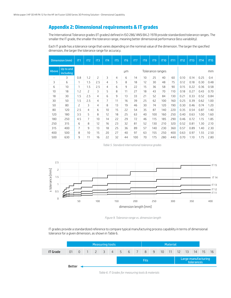## **Appendix 2: Dimensional requirements & IT grades**

The International Tolerance grades (IT grades) defined in ISO 286/ ANSI B4.2-1978 provide standardized tolerance ranges. The smaller the IT grade, the smaller the tolerance range, meaning better dimensional performance (less variability).

Each IT grade has a tolerance range that varies depending on the nominal value of the dimension. The larger the specified dimension, the larger the tolerance range for accuracy.

|                          | Dimension (mm)         | IT1            | IT <sub>2</sub> | IT <sub>3</sub> | IT <sub>4</sub> | IT <sub>5</sub> | IT <sub>6</sub> | IT7 | IT <sub>8</sub> | IT <sub>9</sub>  | <b>IT10</b> | IT11 | <b>IT12</b> | IT13 | IT14 | <b>IT15</b> |  |  |  |
|--------------------------|------------------------|----------------|-----------------|-----------------|-----------------|-----------------|-----------------|-----|-----------------|------------------|-------------|------|-------------|------|------|-------------|--|--|--|
| Above                    | Up to and<br>including |                |                 |                 |                 |                 | μm              |     |                 | Tolerance ranges |             |      | mm          |      |      |             |  |  |  |
| $\overline{\phantom{0}}$ | 3                      | 0.8            | 1.2             | 2               | 3               | $\overline{4}$  | 6               | 14  | 10              | 25               | 40          | 60   | 0.10        | 0.14 | 0.25 | 0.4         |  |  |  |
| 3                        | 6                      | 1              | 1.5             | 2.5             | 4               | 5               | 8               | 18  | $12^{1}$        | 30               | 48          | 75   | 0.12        | 0.18 | 0.30 | 0.48        |  |  |  |
| 6                        | 10                     | 1              | 1.5             | 2.5             | 4               | 6               | 9               | 22  | 15              | 36               | 58          | 90   | 0.15        | 0.22 | 0.36 | 0.58        |  |  |  |
| 10                       | 18                     | 1.2            | 2               | 3               | 5               | 8               | 11              | 27  | 18              | 43               | 70          | 110  | 0.18        | 0.27 | 0.43 | 0.70        |  |  |  |
| 18                       | 30                     | 1.5            | 2.5             | 4               | 6               | 9               | 13              | 33  | 21              | 52               | 84          | 130  | 0.21        | 0.33 | 0.52 | 0.84        |  |  |  |
| 30                       | 50                     | 1.5            | 2.5             | 4               | $\overline{7}$  | 11              | 16              | 39  | 25              | 62               | 100         | 160  | 0.25        | 0.39 | 0.62 | 1.00        |  |  |  |
| 50                       | 80                     | 2              | 3               | 4               | 8               | 13              | 19              | 46  | 30              | 74               | 120         | 190  | 0.30        | 0.46 | 0.74 | 1.20        |  |  |  |
| 80                       | 120                    | 2.5            | 4               | 6               | 10              | 15              | 22              | 54  | 35              | 87               | 140         | 220  | 0.35        | 0.54 | 0.87 | 1.40        |  |  |  |
| 120                      | 180                    | 3.5            | 5               | 8               | 12              | 18              | 25              | 63  | 40              | 100              | 160         | 250  | 0.40        | 0.63 | 1.00 | 1.60        |  |  |  |
| 180                      | 250                    | 4.5            | $\overline{7}$  | 10              | 14              | 22              | 29              | 72  | 46              | 115              | 185         | 290  | 0.46        | 0.72 | 1.15 | 1.85        |  |  |  |
| 250                      | 315                    | 6              | 8               | 12              | 16              | 23              | 32              | 81  | 52              | 130              | 210         | 320  | 0.52        | 0.81 | 1.30 | 2.10        |  |  |  |
| 315                      | 400                    | $\overline{7}$ | 9               | 13              | 18              | 25              | 36              | 89  | 57              | 140              | 230         | 360  | 0.57        | 0.89 | 1.40 | 2.30        |  |  |  |
| 400                      | 500                    | 8              | 10              | 15              | 20              | 27              | 40              | 97  | 63              | 155              | 250         | 400  | 0.63        | 0.97 | 1.55 | 2.50        |  |  |  |
| 500                      | 630                    | 9              | 11              | 16              | 22              | 32              | 44              | 100 | 70              | 175              | 280         | 440  | 0.70        | 1.10 | 1.75 | 2.80        |  |  |  |

*Table 5. Standard international tolerance grades*



*Figure 9. Tolerance range vs. dimension length* 

IT grades provide a standardized reference to compare typical manufacturing process capability in terms of dimensional tolerance for a given dimension, as shown in Table 6.

|                 | Measuring tools |  |  |  |                                             |  |  |  |  | <b>Material</b> |  |  |  |  |                     |            |  |
|-----------------|-----------------|--|--|--|---------------------------------------------|--|--|--|--|-----------------|--|--|--|--|---------------------|------------|--|
| <b>IT Grade</b> |                 |  |  |  | 01 0 1 2 3 4 5 6 7 8 9 10 11 12 13 14 15 16 |  |  |  |  |                 |  |  |  |  |                     |            |  |
|                 |                 |  |  |  |                                             |  |  |  |  | <b>Fits</b>     |  |  |  |  | Large manufacturing | tolerances |  |
|                 | Better          |  |  |  |                                             |  |  |  |  |                 |  |  |  |  |                     |            |  |

*Table 6. IT Grades for measuring tools & materials*